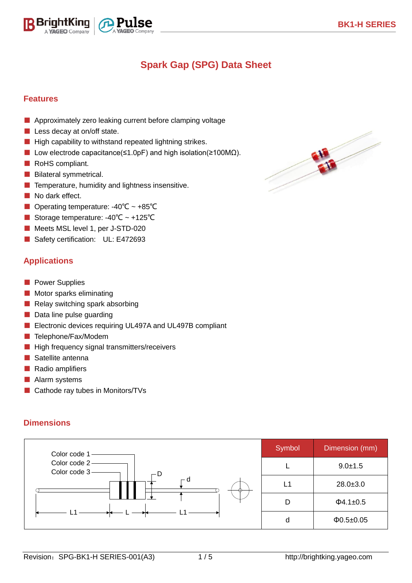# **Spark Gap (SPG) Data Sheet**

 $\overline{a}$ 

#### **Features**

- Approximately zero leaking current before clamping voltage
- Less decay at on/off state.

ightKing A **YAGEO** Company

- High capability to withstand repeated lightning strikes.
- Low electrode capacitance(≤1.0pF) and high isolation(≥100MΩ).
- RoHS compliant.
- Bilateral symmetrical.
- Temperature, humidity and lightness insensitive.
- No dark effect.
- Operating temperature: -40°C ~ +85°C
- Storage temperature: -40°C ~ +125°C
- Meets MSL level 1, per J-STD-020
- Safety certification: UL: E472693

### **Applications**

- Power Supplies
- Motor sparks eliminating
- Relay switching spark absorbing
- Data line pulse guarding
- Electronic devices requiring UL497A and UL497B compliant
- Telephone/Fax/Modem
- High frequency signal transmitters/receivers
- Satellite antenna
- Radio amplifiers
- Alarm systems
- Cathode ray tubes in Monitors/TVs

#### **Dimensions**



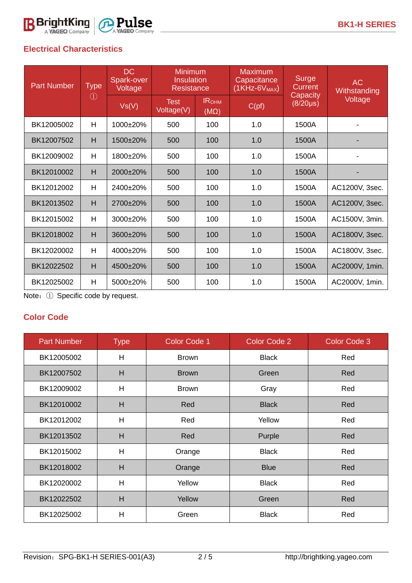### **Electrical Characteristics**

| <b>Part Number</b> | <b>Type</b><br>$\left( 1\right)$ | <b>DC</b><br>Spark-over<br>Voltage | <b>Minimum</b><br><b>Insulation</b><br><b>Resistance</b> |                             | <b>Maximum</b><br>Capacitance<br>$(1$ KHz-6 $V_{MAX}$ | <b>Surge</b><br>Current   | <b>AC</b><br>Withstanding |
|--------------------|----------------------------------|------------------------------------|----------------------------------------------------------|-----------------------------|-------------------------------------------------------|---------------------------|---------------------------|
|                    |                                  | Vs(V)                              | <b>Test</b><br>Voltage(V)                                | <b>IROHM</b><br>$(M\Omega)$ | C(pt)                                                 | Capacity<br>$(8/20\mu s)$ | Voltage                   |
| BK12005002         | H                                | $1000+20%$                         | 500                                                      | 100                         | 1.0                                                   | 1500A                     |                           |
| BK12007502         | H                                | $1500+20%$                         | 500                                                      | 100                         | 1.0                                                   | 1500A                     |                           |
| BK12009002         | H                                | 1800±20%                           | 500                                                      | 100                         | 1.0                                                   | 1500A                     |                           |
| BK12010002         | H                                | 2000±20%                           | 500                                                      | 100                         | 1.0                                                   | 1500A                     |                           |
| BK12012002         | H                                | 2400±20%                           | 500                                                      | 100                         | 1.0                                                   | 1500A                     | AC1200V, 3sec.            |
| BK12013502         | H                                | 2700±20%                           | 500                                                      | 100                         | 1.0                                                   | 1500A                     | AC1200V, 3sec.            |
| BK12015002         | H                                | 3000±20%                           | 500                                                      | 100                         | 1.0                                                   | 1500A                     | AC1500V, 3min.            |
| BK12018002         | H                                | 3600±20%                           | 500                                                      | 100                         | 1.0                                                   | 1500A                     | AC1800V, 3sec.            |
| BK12020002         | H                                | 4000±20%                           | 500                                                      | 100                         | 1.0                                                   | 1500A                     | AC1800V, 3sec.            |
| BK12022502         | H                                | $4500+20%$                         | 500                                                      | 100                         | 1.0                                                   | 1500A                     | AC2000V, 1min.            |
| BK12025002         | H                                | 5000±20%                           | 500                                                      | 100                         | 1.0                                                   | 1500A                     | AC2000V, 1min.            |

 $\overline{a}$ 

Note:① Specific code by request.

### **Color Code**

| <b>Part Number</b> | <b>Type</b> | <b>Color Code 1</b> | <b>Color Code 2</b> | <b>Color Code 3</b> |
|--------------------|-------------|---------------------|---------------------|---------------------|
| BK12005002         | H           | <b>Brown</b>        | <b>Black</b>        | Red                 |
| BK12007502         | H           | <b>Brown</b>        | Green               | Red                 |
| BK12009002         | H           | <b>Brown</b>        | Gray                | Red                 |
| BK12010002         | H           | Red                 | <b>Black</b>        | Red                 |
| BK12012002         | H           | Red                 | Yellow              | Red                 |
| BK12013502         | H           | Red                 | Purple              | Red                 |
| BK12015002         | H           | Orange              | <b>Black</b>        | Red                 |
| BK12018002         | H           | Orange              | <b>Blue</b>         | Red                 |
| BK12020002         | H           | Yellow              | <b>Black</b>        | Red                 |
| BK12022502         | H           | Yellow              | Green               | Red                 |
| BK12025002         | H           | Green               | <b>Black</b>        | Red                 |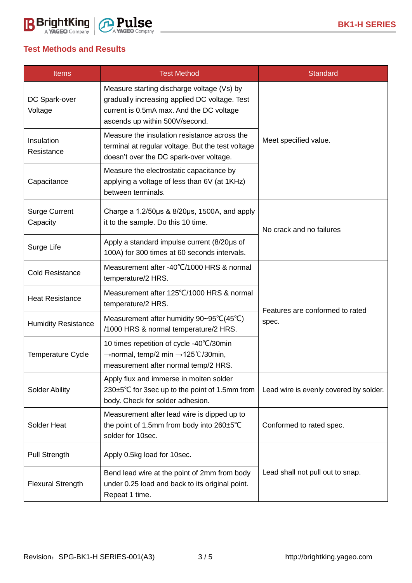### **Test Methods and Results**

| <b>Items</b>                     | <b>Test Method</b>                                                                                                                                                        | <b>Standard</b>                          |  |  |
|----------------------------------|---------------------------------------------------------------------------------------------------------------------------------------------------------------------------|------------------------------------------|--|--|
| DC Spark-over<br>Voltage         | Measure starting discharge voltage (Vs) by<br>gradually increasing applied DC voltage. Test<br>current is 0.5mA max. And the DC voltage<br>ascends up within 500V/second. |                                          |  |  |
| Insulation<br>Resistance         | Measure the insulation resistance across the<br>terminal at regular voltage. But the test voltage<br>doesn't over the DC spark-over voltage.                              | Meet specified value.                    |  |  |
| Capacitance                      | Measure the electrostatic capacitance by<br>applying a voltage of less than 6V (at 1KHz)<br>between terminals.                                                            |                                          |  |  |
| <b>Surge Current</b><br>Capacity | Charge a 1.2/50µs & 8/20µs, 1500A, and apply<br>it to the sample. Do this 10 time.                                                                                        | No crack and no failures                 |  |  |
| Surge Life                       | Apply a standard impulse current (8/20µs of<br>100A) for 300 times at 60 seconds intervals.                                                                               |                                          |  |  |
| <b>Cold Resistance</b>           | Measurement after -40°C/1000 HRS & normal<br>temperature/2 HRS.                                                                                                           |                                          |  |  |
| <b>Heat Resistance</b>           | Measurement after 125°C/1000 HRS & normal<br>temperature/2 HRS.                                                                                                           | Features are conformed to rated<br>spec. |  |  |
| <b>Humidity Resistance</b>       | Measurement after humidity 90~95°C(45°C)<br>/1000 HRS & normal temperature/2 HRS.                                                                                         |                                          |  |  |
| <b>Temperature Cycle</b>         | 10 times repetition of cycle -40°C/30min<br>$\rightarrow$ normal, temp/2 min $\rightarrow$ 125°C/30min,<br>measurement after normal temp/2 HRS.                           |                                          |  |  |
| <b>Solder Ability</b>            | Apply flux and immerse in molten solder<br>230±5°C for 3sec up to the point of 1.5mm from<br>body. Check for solder adhesion.                                             | Lead wire is evenly covered by solder.   |  |  |
| Solder Heat                      | Measurement after lead wire is dipped up to<br>the point of 1.5mm from body into 260±5°C<br>solder for 10sec.                                                             | Conformed to rated spec.                 |  |  |
| Pull Strength                    | Apply 0.5kg load for 10sec.                                                                                                                                               | Lead shall not pull out to snap.         |  |  |
| <b>Flexural Strength</b>         | Bend lead wire at the point of 2mm from body<br>under 0.25 load and back to its original point.<br>Repeat 1 time.                                                         |                                          |  |  |

 $\overline{a}$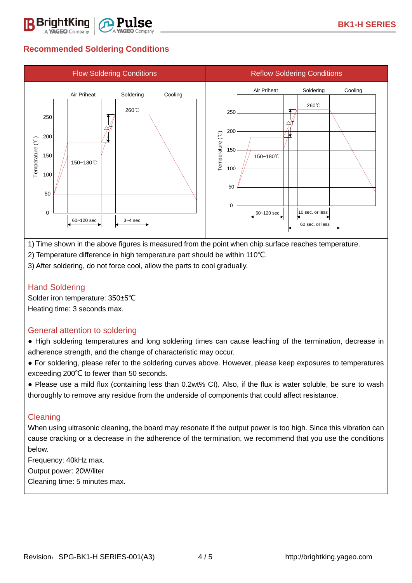

VAGEO Company



 $\overline{a}$ 

1) Time shown in the above figures is measured from the point when chip surface reaches temperature.

2) Temperature difference in high temperature part should be within 110℃.

3) After soldering, do not force cool, allow the parts to cool gradually.

### Hand Soldering

Solder iron temperature: 350±5℃ Heating time: 3 seconds max.

#### General attention to soldering

● High soldering temperatures and long soldering times can cause leaching of the termination, decrease in adherence strength, and the change of characteristic may occur.

● For soldering, please refer to the soldering curves above. However, please keep exposures to temperatures exceeding 200℃ to fewer than 50 seconds.

● Please use a mild flux (containing less than 0.2wt% CI). Also, if the flux is water soluble, be sure to wash thoroughly to remove any residue from the underside of components that could affect resistance.

#### **Cleaning**

When using ultrasonic cleaning, the board may resonate if the output power is too high. Since this vibration can cause cracking or a decrease in the adherence of the termination, we recommend that you use the conditions below.

Frequency: 40kHz max.

Output power: 20W/liter

Cleaning time: 5 minutes max.